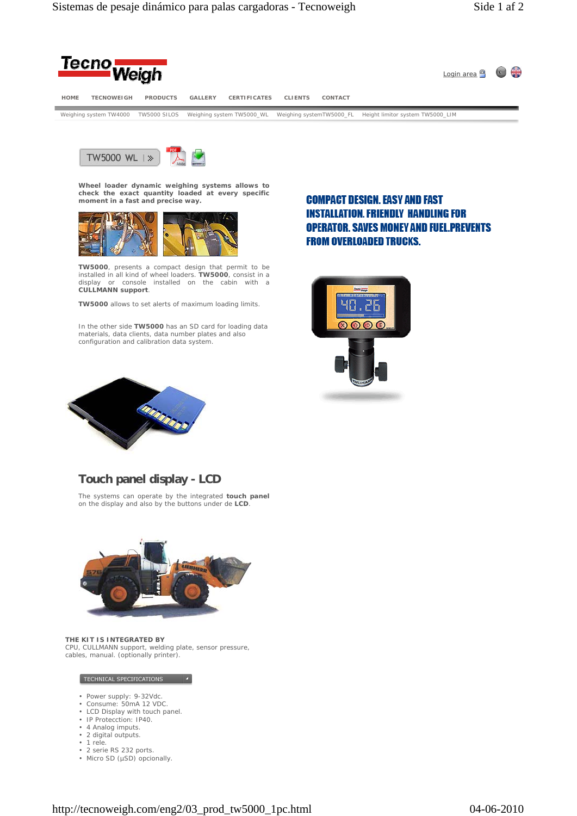



**Wheel loader dynamic weighing systems allows to check the exact quantity loaded at every specific moment in a fast and precise way.**



**TW5000**, presents a compact design that permit to be installed in all kind of wheel loaders. **TW5000**, consist in a display or console installed on the cabin with a **CULLMANN support**.

**TW5000** allows to set alerts of maximum loading limits.

In the other side **TW5000** has an SD card for loading data materials, data clients, data number plates and also configuration and calibration data system.







## **Touch panel display - LCD**

The systems can operate by the integrated **touch panel** on the display and also by the buttons under de **LCD**.



## **THE KIT IS INTEGRATED BY**

CPU, CULLMANN support, welding plate, sensor pressure, cables, manual. (optionally printer).

## TECHNICAL SPECIFICATIONS

- Power supply: 9-32Vdc.
- Consume: 50mA 12 VDC.
- LCD Display with touch panel.
- IP Protecction: IP40. • 4 Analog imputs.
- 2 digital outputs.
- 1 rele.
- 2 serie RS 232 ports.
- Micro SD (µSD) opcionally